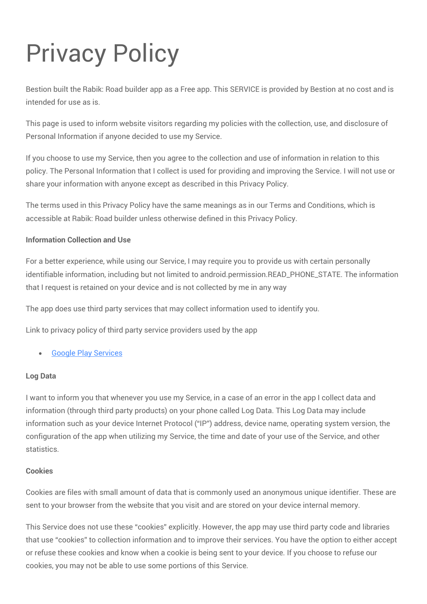# Privacy Policy

Bestion built the Rabik: Road builder app as a Free app. This SERVICE is provided by Bestion at no cost and is intended for use as is.

This page is used to inform website visitors regarding my policies with the collection, use, and disclosure of Personal Information if anyone decided to use my Service.

If you choose to use my Service, then you agree to the collection and use of information in relation to this policy. The Personal Information that I collect is used for providing and improving the Service. I will not use or share your information with anyone except as described in this Privacy Policy.

The terms used in this Privacy Policy have the same meanings as in our Terms and Conditions, which is accessible at Rabik: Road builder unless otherwise defined in this Privacy Policy.

# **Information Collection and Use**

For a better experience, while using our Service, I may require you to provide us with certain personally identifiable information, including but not limited to android.permission.READ\_PHONE\_STATE. The information that I request is retained on your device and is not collected by me in any way

The app does use third party services that may collect information used to identify you.

Link to privacy policy of third party service providers used by the app

# [Google Play Services](https://www.google.com/policies/privacy/)

# **Log Data**

I want to inform you that whenever you use my Service, in a case of an error in the app I collect data and information (through third party products) on your phone called Log Data. This Log Data may include information such as your device Internet Protocol ("IP") address, device name, operating system version, the configuration of the app when utilizing my Service, the time and date of your use of the Service, and other statistics.

# **Cookies**

Cookies are files with small amount of data that is commonly used an anonymous unique identifier. These are sent to your browser from the website that you visit and are stored on your device internal memory.

This Service does not use these "cookies" explicitly. However, the app may use third party code and libraries that use "cookies" to collection information and to improve their services. You have the option to either accept or refuse these cookies and know when a cookie is being sent to your device. If you choose to refuse our cookies, you may not be able to use some portions of this Service.